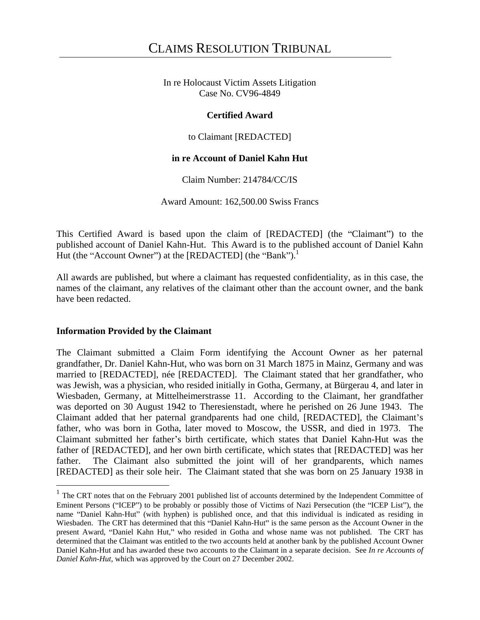In re Holocaust Victim Assets Litigation Case No. CV96-4849

## **Certified Award**

to Claimant [REDACTED]

# **in re Account of Daniel Kahn Hut**

Claim Number: 214784/CC/IS

Award Amount: 162,500.00 Swiss Francs

This Certified Award is based upon the claim of [REDACTED] (the "Claimant") to the published account of Daniel Kahn-Hut. This Award is to the published account of Daniel Kahn Hut (the "Account Owner") at the  $[REDACTER]$  (the "Bank").<sup>1</sup>

All awards are published, but where a claimant has requested confidentiality, as in this case, the names of the claimant, any relatives of the claimant other than the account owner, and the bank have been redacted.

### **Information Provided by the Claimant**

The Claimant submitted a Claim Form identifying the Account Owner as her paternal grandfather, Dr. Daniel Kahn-Hut, who was born on 31 March 1875 in Mainz, Germany and was married to [REDACTED], née [REDACTED]. The Claimant stated that her grandfather, who was Jewish, was a physician, who resided initially in Gotha, Germany, at Bürgerau 4, and later in Wiesbaden, Germany, at Mittelheimerstrasse 11. According to the Claimant, her grandfather was deported on 30 August 1942 to Theresienstadt, where he perished on 26 June 1943. The Claimant added that her paternal grandparents had one child, [REDACTED], the Claimant's father, who was born in Gotha, later moved to Moscow, the USSR, and died in 1973. The Claimant submitted her father's birth certificate, which states that Daniel Kahn-Hut was the father of [REDACTED], and her own birth certificate, which states that [REDACTED] was her father. The Claimant also submitted the joint will of her grandparents, which names [REDACTED] as their sole heir. The Claimant stated that she was born on 25 January 1938 in

<sup>&</sup>lt;sup>1</sup> The CRT notes that on the February 2001 published list of accounts determined by the Independent Committee of Eminent Persons ("ICEP") to be probably or possibly those of Victims of Nazi Persecution (the "ICEP List"), the name "Daniel Kahn-Hut" (with hyphen) is published once, and that this individual is indicated as residing in Wiesbaden. The CRT has determined that this "Daniel Kahn-Hut" is the same person as the Account Owner in the present Award, "Daniel Kahn Hut," who resided in Gotha and whose name was not published. The CRT has determined that the Claimant was entitled to the two accounts held at another bank by the published Account Owner Daniel Kahn-Hut and has awarded these two accounts to the Claimant in a separate decision. See *In re Accounts of Daniel Kahn-Hut*, which was approved by the Court on 27 December 2002.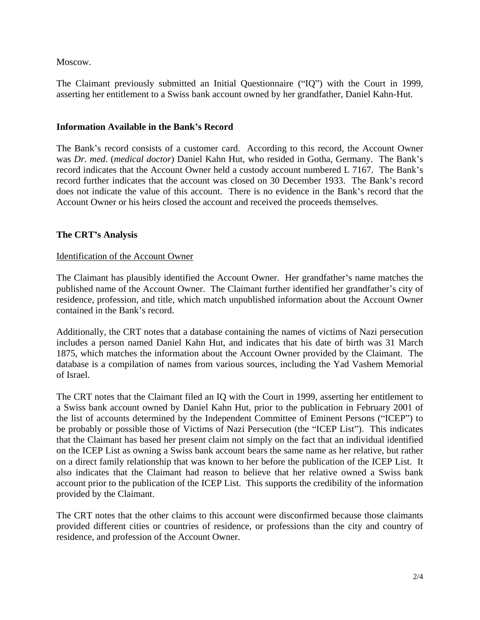Moscow. The contract of the contract of the contract of the contract of the contract of the contract of the contract of the contract of the contract of the contract of the contract of the contract of the contract of the co

The Claimant previously submitted an Initial Questionnaire ("IQ") with the Court in 1999, asserting her entitlement to a Swiss bank account owned by her grandfather, Daniel Kahn-Hut.

# **Information Available in the Bank s Record**

The Bank's record consists of a customer card. According to this record, the Account Owner was *Dr. med*. (*medical doctor*) Daniel Kahn Hut, who resided in Gotha, Germany. The Bank s record indicates that the Account Owner held a custody account numbered L 7167. The Bank's record further indicates that the account was closed on 30 December 1933. The Bank's record does not indicate the value of this account. There is no evidence in the Bank's record that the Account Owner or his heirs closed the account and received the proceeds themselves.

# **The CRT s Analysis**

### Identification of the Account Owner

The Claimant has plausibly identified the Account Owner. Her grandfather's name matches the published name of the Account Owner. The Claimant further identified her grandfather's city of residence, profession, and title, which match unpublished information about the Account Owner contained in the Bank's record.

 Additionally, the CRT notes that <sup>a</sup> database containing the names of victims of Nazi persecution includes a person named Daniel Kahn Hut, and indicates that his date of birth was 31 March 1875, which matches the information about the Account Owner provided by the Claimant. The database is a compilation of names from various sources, including the Yad Vashem Memorial of Israel.

The CRT notes that the Claimant filed an IQ with the Court in 1999, asserting her entitlement to a Swiss bank account owned by Daniel Kahn Hut, prior to the publication in February 2001 of the list of accounts determined by the Independent Committee of Eminent Persons ("ICEP") to be probably or possible those of Victims of Nazi Persecution (the "ICEP List"). This indicates that the Claimant has based her present claim not simply on the fact that an individual identified on the ICEP List as owning a Swiss bank account bears thesame name as her relative, but rather on a direct family relationship that was known to her before the publication of the ICEP List. It also indicates that the Claimant had reason to believe that her relative owned a Swiss bank account prior to the publication of the ICEP List. This supports the credibility of the information provided by the Claimant.

The CRT notes that the other claims to this account were disconfirmed because those claimants provided different cities or countries of residence, or professions than the city and country of residence, and profession of the Account Owner.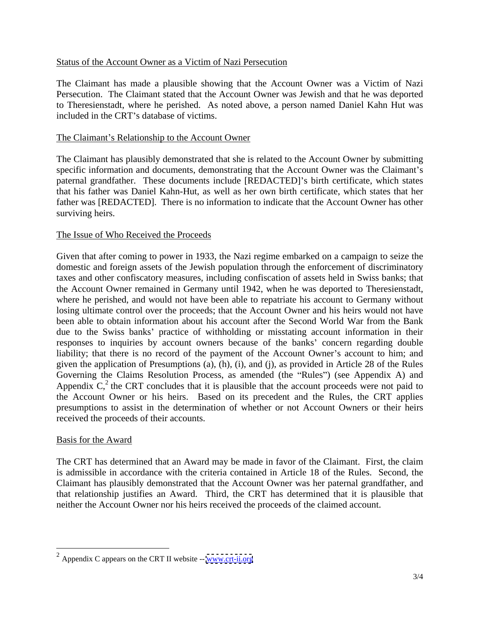## Status of the Account Owner as a Victim of Nazi Persecution

The Claimant has made a plausible showing that the Account Owner was a Victim of Nazi Persecution. The Claimant stated that the Account Owner was Jewish and that he was deported to Theresienstadt, where he perished. As noted above, a person named Daniel Kahn Hut was included in the CRT's database of victims.

## The Claimant's Relationship to the Account Owner

The Claimant has plausibly demonstrated that she is related to the Account Owner by submitting specific information and documents, demonstrating that the Account Owner was the Claimant's paternal grandfather. These documents include [REDACTED]'s birth certificate, which states that his father was Daniel Kahn-Hut, as well as her own birth certificate, which states that her father was [REDACTED]. There is no information to indicate that the Account Owner has other surviving heirs.

# The Issue of Who Received the Proceeds

Given that after coming to power in 1933, the Nazi regime embarked on a campaign to seize the domestic and foreign assets of the Jewish population through the enforcement of discriminatory taxes and other confiscatory measures, including confiscation of assets held in Swiss banks; that the Account Owner remained in Germany until 1942, when he was deported to Theresienstadt, where he perished, and would not have been able to repatriate his account to Germany without losing ultimate control over the proceeds; that the Account Owner and his heirs would not have been able to obtain information about his account after the Second World War from the Bank due to the Swiss banks' practice of withholding or misstating account information in their responses to inquiries by account owners because of the banks' concern regarding double liability; that there is no record of the payment of the Account Owner's account to him; and given the application of Presumptions (a), (h), (i), and (j), as provided in Article 28 of the Rules Governing the Claims Resolution Process, as amended (the "Rules") (see Appendix A) and Appendix  $C<sub>1</sub><sup>2</sup>$  the CRT concludes that it is plausible that the account proceeds were not paid to the Account Owner or his heirs. Based on its precedent and the Rules, the CRT applies presumptions to assist in the determination of whether or not Account Owners or their heirs received the proceeds of their accounts.

### Basis for the Award

The CRT has determined that an Award may be made in favor of the Claimant. First, the claim is admissible in accordance with the criteria contained in Article 18 of the Rules. Second, the Claimant has plausibly demonstrated that the Account Owner was her paternal grandfather, and that relationship justifies an Award. Third, the CRT has determined that it is plausible that neither the Account Owner nor his heirs received the proceeds of the claimed account.

 $2$  Appendix C appears on the CRT II website  $-$  [www.crt-ii.org](http://www.crt-ii.org)